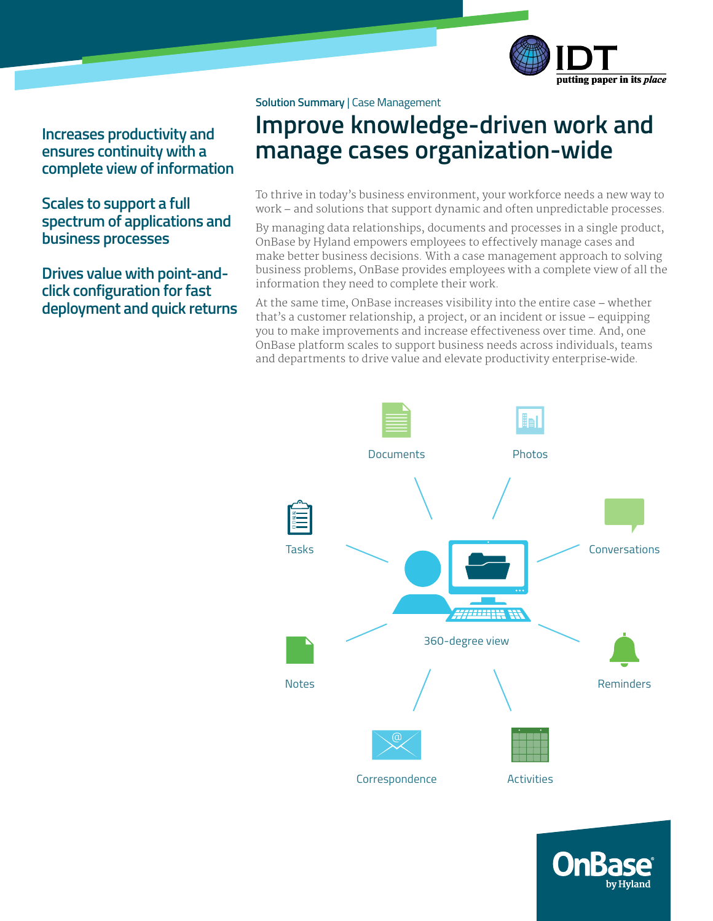

**Increases productivity and ensures continuity with a complete view of information**

**Scales to support a full spectrum of applications and business processes**

**Drives value with point-andclick configuration for fast deployment and quick returns**

### **Solution Summary** | Case Management

# **Improve knowledge-driven work and manage cases organization-wide**

To thrive in today's business environment, your workforce needs a new way to work – and solutions that support dynamic and often unpredictable processes.

By managing data relationships, documents and processes in a single product, OnBase by Hyland empowers employees to effectively manage cases and make better business decisions. With a case management approach to solving business problems, OnBase provides employees with a complete view of all the information they need to complete their work.

At the same time, OnBase increases visibility into the entire case – whether that's a customer relationship, a project, or an incident or issue – equipping you to make improvements and increase effectiveness over time. And, one OnBase platform scales to support business needs across individuals, teams and departments to drive value and elevate productivity enterprise-wide.